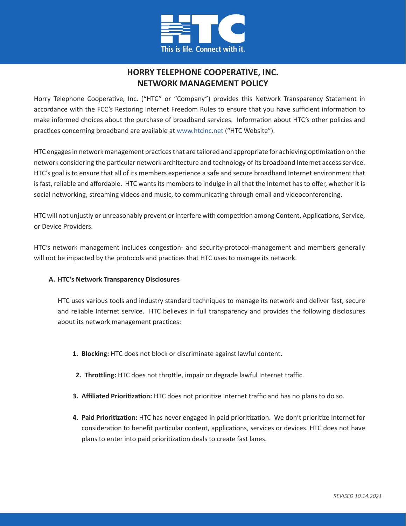

# **HORRY TELEPHONE COOPERATIVE, INC. NETWORK MANAGEMENT POLICY**

Horry Telephone Cooperative, Inc. ("HTC" or "Company") provides this Network Transparency Statement in accordance with the FCC's Restoring Internet Freedom Rules to ensure that you have sufficient information to make informed choices about the purchase of broadband services. Information about HTC's other policies and practices concerning broadband are available at www.htcinc.net ("HTC Website").

HTC engages in network management practices that are tailored and appropriate for achieving optimization on the network considering the particular network architecture and technology of its broadband Internet access service. HTC's goal is to ensure that all of its members experience a safe and secure broadband Internet environment that is fast, reliable and affordable. HTC wants its members to indulge in all that the Internet has to offer, whether it is social networking, streaming videos and music, to communicating through email and videoconferencing.

HTC will not unjustly or unreasonably prevent or interfere with competition among Content, Applications, Service, or Device Providers.

HTC's network management includes congestion- and security-protocol-management and members generally will not be impacted by the protocols and practices that HTC uses to manage its network.

# **A. HTC's Network Transparency Disclosures**

HTC uses various tools and industry standard techniques to manage its network and deliver fast, secure and reliable Internet service. HTC believes in full transparency and provides the following disclosures about its network management practices:

- **1. Blocking:** HTC does not block or discriminate against lawful content.
- **2. Throttling:** HTC does not throttle, impair or degrade lawful Internet traffic.
- **3. Affiliated Prioritization:** HTC does not prioritize Internet traffic and has no plans to do so.
- **4. Paid Prioritization:** HTC has never engaged in paid prioritization. We don't prioritize Internet for consideration to benefit particular content, applications, services or devices. HTC does not have plans to enter into paid prioritization deals to create fast lanes.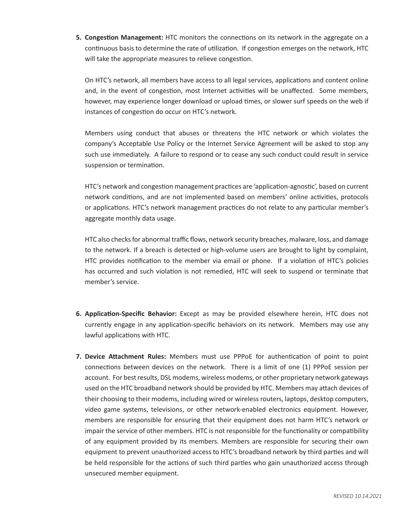**5. Congestion Management:** HTC monitors the connections on its network in the aggregate on a continuous basis to determine the rate of utilization. If congestion emerges on the network, HTC will take the appropriate measures to relieve congestion.

On HTC's network, all members have access to all legal services, applications and content online and, in the event of congestion, most Internet activities will be unaffected. Some members, however, may experience longer download or upload times, or slower surf speeds on the web if instances of congestion do occur on HTC's network.

Members using conduct that abuses or threatens the HTC network or which violates the company's Acceptable Use Policy or the Internet Service Agreement will be asked to stop any such use immediately. A failure to respond or to cease any such conduct could result in service suspension or termination.

HTC's network and congestion management practices are 'application-agnostic', based on current network conditions, and are not implemented based on members' online activities, protocols or applications. HTC's network management practices do not relate to any particular member's aggregate monthly data usage.

HTC also checks for abnormal traffic flows, network security breaches, malware, loss, and damage to the network. If a breach is detected or high-volume users are brought to light by complaint, HTC provides notification to the member via email or phone. If a violation of HTC's policies has occurred and such violation is not remedied, HTC will seek to suspend or terminate that member's service.

- **6. Application-Specific Behavior:** Except as may be provided elsewhere herein, HTC does not currently engage in any application-specific behaviors on its network. Members may use any lawful applications with HTC.
- **7. Device Attachment Rules:** Members must use PPPoE for authentication of point to point connections between devices on the network. There is a limit of one (1) PPPoE session per account. For best results, DSL modems, wireless modems, or other proprietary network gateways used on the HTC broadband network should be provided by HTC. Members may attach devices of their choosing to their modems, including wired or wireless routers, laptops, desktop computers, video game systems, televisions, or other network-enabled electronics equipment. However, members are responsible for ensuring that their equipment does not harm HTC's network or impair the service of other members. HTC is not responsible for the functionality or compatibility of any equipment provided by its members. Members are responsible for securing their own equipment to prevent unauthorized access to HTC's broadband network by third parties and will be held responsible for the actions of such third parties who gain unauthorized access through unsecured member equipment.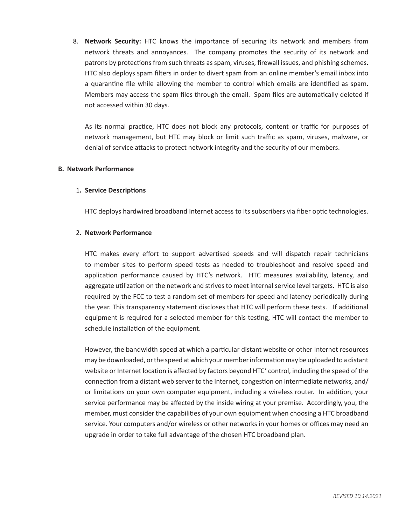8. **Network Security:** HTC knows the importance of securing its network and members from network threats and annoyances. The company promotes the security of its network and patrons by protections from such threats as spam, viruses, firewall issues, and phishing schemes. HTC also deploys spam filters in order to divert spam from an online member's email inbox into a quarantine file while allowing the member to control which emails are identified as spam. Members may access the spam files through the email. Spam files are automatically deleted if not accessed within 30 days.

As its normal practice, HTC does not block any protocols, content or traffic for purposes of network management, but HTC may block or limit such traffic as spam, viruses, malware, or denial of service attacks to protect network integrity and the security of our members.

### **B. Network Performance**

#### 1**. Service Descriptions**

HTC deploys hardwired broadband Internet access to its subscribers via fiber optic technologies.

#### 2**. Network Performance**

HTC makes every effort to support advertised speeds and will dispatch repair technicians to member sites to perform speed tests as needed to troubleshoot and resolve speed and application performance caused by HTC's network. HTC measures availability, latency, and aggregate utilization on the network and strives to meet internal service level targets. HTC is also required by the FCC to test a random set of members for speed and latency periodically during the year. This transparency statement discloses that HTC will perform these tests. If additional equipment is required for a selected member for this testing, HTC will contact the member to schedule installation of the equipment.

However, the bandwidth speed at which a particular distant website or other Internet resources may be downloaded, or the speed at which your member information may be uploaded to a distant website or Internet location is affected by factors beyond HTC' control, including the speed of the connection from a distant web server to the Internet, congestion on intermediate networks, and/ or limitations on your own computer equipment, including a wireless router. In addition, your service performance may be affected by the inside wiring at your premise. Accordingly, you, the member, must consider the capabilities of your own equipment when choosing a HTC broadband service. Your computers and/or wireless or other networks in your homes or offices may need an upgrade in order to take full advantage of the chosen HTC broadband plan.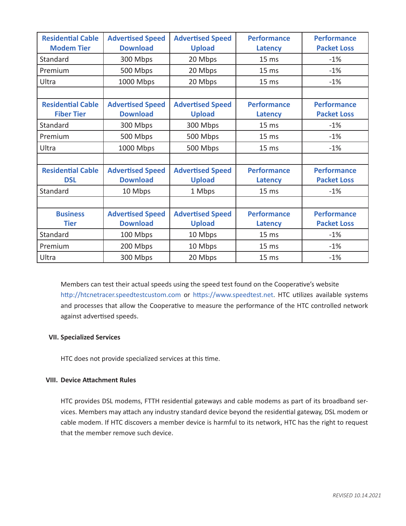| <b>Residential Cable</b><br><b>Modem Tier</b> | <b>Advertised Speed</b><br><b>Download</b> | <b>Advertised Speed</b><br><b>Upload</b> | <b>Performance</b><br>Latency        | <b>Performance</b><br><b>Packet Loss</b> |
|-----------------------------------------------|--------------------------------------------|------------------------------------------|--------------------------------------|------------------------------------------|
| Standard                                      | 300 Mbps                                   | 20 Mbps                                  | 15 <sub>ms</sub>                     | $-1%$                                    |
| Premium                                       | 500 Mbps                                   | 20 Mbps                                  | 15 <sub>ms</sub>                     | $-1%$                                    |
| Ultra                                         | 1000 Mbps                                  | 20 Mbps                                  | 15 <sub>ms</sub>                     | $-1%$                                    |
|                                               |                                            |                                          |                                      |                                          |
| <b>Residential Cable</b><br><b>Fiber Tier</b> | <b>Advertised Speed</b><br><b>Download</b> | <b>Advertised Speed</b><br><b>Upload</b> | <b>Performance</b><br><b>Latency</b> | <b>Performance</b><br><b>Packet Loss</b> |
| Standard                                      | 300 Mbps                                   | 300 Mbps                                 | 15 <sub>ms</sub>                     | $-1%$                                    |
| Premium                                       | 500 Mbps                                   | 500 Mbps                                 | 15 <sub>ms</sub>                     | $-1%$                                    |
| Ultra                                         | 1000 Mbps                                  | 500 Mbps                                 | 15 <sub>ms</sub>                     | $-1%$                                    |
|                                               |                                            |                                          |                                      |                                          |
| <b>Residential Cable</b>                      | <b>Advertised Speed</b>                    | <b>Advertised Speed</b>                  | <b>Performance</b>                   | <b>Performance</b>                       |
| <b>DSL</b>                                    | <b>Download</b>                            | <b>Upload</b>                            | <b>Latency</b>                       | <b>Packet Loss</b>                       |
| Standard                                      | 10 Mbps                                    | 1 Mbps                                   | 15 <sub>ms</sub>                     | $-1%$                                    |
|                                               |                                            |                                          |                                      |                                          |
| <b>Business</b>                               | <b>Advertised Speed</b>                    | <b>Advertised Speed</b>                  | <b>Performance</b>                   | <b>Performance</b>                       |
| <b>Tier</b>                                   | <b>Download</b>                            | <b>Upload</b>                            | Latency                              | <b>Packet Loss</b>                       |
| Standard                                      | 100 Mbps                                   | 10 Mbps                                  | 15 <sub>ms</sub>                     | $-1%$                                    |
| Premium                                       | 200 Mbps                                   | 10 Mbps                                  | 15 <sub>ms</sub>                     | $-1%$                                    |
| Ultra                                         | 300 Mbps                                   | 20 Mbps                                  | 15 <sub>ms</sub>                     | $-1%$                                    |

Members can test their actual speeds using the speed test found on the Cooperative's website http://htcnetracer.speedtestcustom.com or https://www.speedtest.net. HTC utilizes available systems and processes that allow the Cooperative to measure the performance of the HTC controlled network against advertised speeds.

# **VII. Specialized Services**

HTC does not provide specialized services at this time.

# **VIII. Device Attachment Rules**

HTC provides DSL modems, FTTH residential gateways and cable modems as part of its broadband services. Members may attach any industry standard device beyond the residential gateway, DSL modem or cable modem. If HTC discovers a member device is harmful to its network, HTC has the right to request that the member remove such device.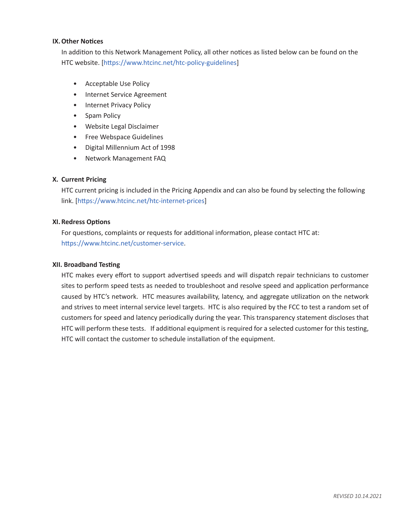## **IX.Other Notices**

In addition to this Network Management Policy, all other notices as listed below can be found on the HTC website. [https://www.htcinc.net/htc-policy-guidelines]

- Acceptable Use Policy
- Internet Service Agreement
- Internet Privacy Policy
- Spam Policy
- Website Legal Disclaimer
- Free Webspace Guidelines
- Digital Millennium Act of 1998
- Network Management FAQ

# **X. Current Pricing**

HTC current pricing is included in the Pricing Appendix and can also be found by selecting the following link. [https://www.htcinc.net/htc-internet-prices]

## **XI. Redress Options**

For questions, complaints or requests for additional information, please contact HTC at: https://www.htcinc.net/customer-service.

### **XII. Broadband Testing**

HTC makes every effort to support advertised speeds and will dispatch repair technicians to customer sites to perform speed tests as needed to troubleshoot and resolve speed and application performance caused by HTC's network. HTC measures availability, latency, and aggregate utilization on the network and strives to meet internal service level targets. HTC is also required by the FCC to test a random set of customers for speed and latency periodically during the year. This transparency statement discloses that HTC will perform these tests. If additional equipment is required for a selected customer for this testing, HTC will contact the customer to schedule installation of the equipment.